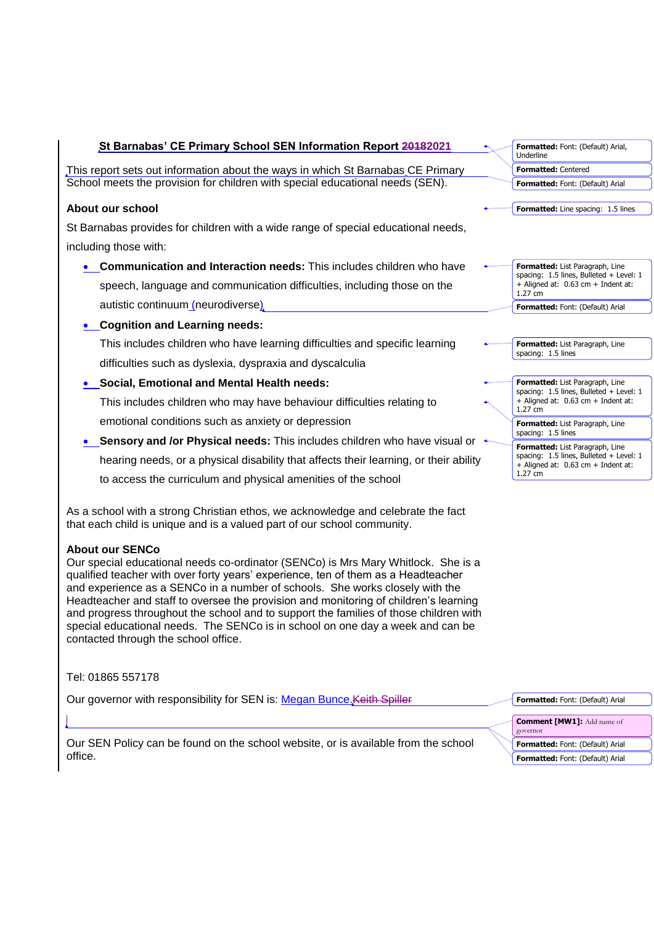| St Barnabas' CE Primary School SEN Information Report 20182021                        | Formatted: Font: (Default) Arial,<br>Underline                                           |  |
|---------------------------------------------------------------------------------------|------------------------------------------------------------------------------------------|--|
| This report sets out information about the ways in which St Barnabas CE Primary       | <b>Formatted: Centered</b>                                                               |  |
| School meets the provision for children with special educational needs (SEN).         | Formatted: Font: (Default) Arial                                                         |  |
| About our school                                                                      | Formatted: Line spacing: 1.5 lines                                                       |  |
| St Barnabas provides for children with a wide range of special educational needs,     |                                                                                          |  |
| including those with:                                                                 |                                                                                          |  |
| <b>Communication and Interaction needs:</b> This includes children who have           | Formatted: List Paragraph, Line                                                          |  |
| speech, language and communication difficulties, including those on the               | spacing: 1.5 lines, Bulleted + Level: 1<br>+ Aligned at: 0.63 cm + Indent at:<br>1.27 cm |  |
| autistic continuum_(neurodiverse)                                                     | Formatted: Font: (Default) Arial                                                         |  |
| <b>Cognition and Learning needs:</b>                                                  |                                                                                          |  |
| This includes children who have learning difficulties and specific learning           | Formatted: List Paragraph, Line<br>spacing: 1.5 lines                                    |  |
| difficulties such as dyslexia, dyspraxia and dyscalculia                              |                                                                                          |  |
| • Social, Emotional and Mental Health needs:                                          | Formatted: List Paragraph, Line<br>spacing: 1.5 lines, Bulleted + Level: 1               |  |
| This includes children who may have behaviour difficulties relating to                | + Aligned at: 0.63 cm + Indent at:<br>1.27 cm                                            |  |
| emotional conditions such as anxiety or depression                                    | Formatted: List Paragraph, Line                                                          |  |
| • Sensory and /or Physical needs: This includes children who have visual or           | spacing: 1.5 lines<br>Formatted: List Paragraph, Line                                    |  |
| hearing needs, or a physical disability that affects their learning, or their ability | spacing: 1.5 lines, Bulleted + Level: 1<br>$+$ Aligned at: 0.63 cm $+$ Indent at:        |  |
| to access the curriculum and physical amenities of the school                         | $1.27$ cm                                                                                |  |

As a school with a strong Christian ethos, we acknowledge and celebrate the fact that each child is unique and is a valued part of our school community.

# **About our SENCo**

Our special educational needs co-ordinator (SENCo) is Mrs Mary Whitlock. She is a qualified teacher with over forty years' experience, ten of them as a Headteacher and experience as a SENCo in a number of schools. She works closely with the Headteacher and staff to oversee the provision and monitoring of children's learning and progress throughout the school and to support the families of those children with special educational needs. The SENCo is in school on one day a week and can be contacted through the school office.

Tel: 01865 557178

Our governor with responsibility for SEN is: Megan Bunce Keith Spiller

Our SEN Policy can be found on the school website, or is available from the school office.

| Formatted: Font: (Default) Arial  |
|-----------------------------------|
| <b>Comment [MW1]: Add name of</b> |
| governor                          |
| Formatted: Font: (Default) Arial  |
| Formatted: Font: (Default) Arial  |
|                                   |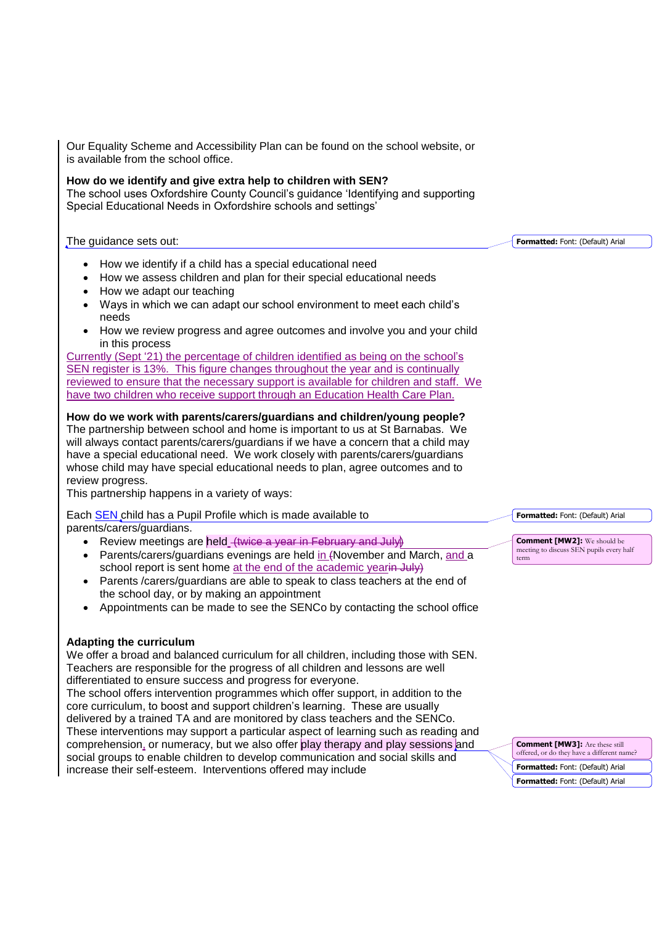Our Equality Scheme and Accessibility Plan can be found on the school website, or is available from the school office.

# **How do we identify and give extra help to children with SEN?**

The school uses Oxfordshire County Council's guidance 'Identifying and supporting Special Educational Needs in Oxfordshire schools and settings'

#### The guidance sets out:

- How we identify if a child has a special educational need
- How we assess children and plan for their special educational needs
- How we adapt our teaching
- Ways in which we can adapt our school environment to meet each child's needs
- How we review progress and agree outcomes and involve you and your child in this process

Currently (Sept '21) the percentage of children identified as being on the school's SEN register is 13%. This figure changes throughout the year and is continually reviewed to ensure that the necessary support is available for children and staff. We have two children who receive support through an Education Health Care Plan.

## **How do we work with parents/carers/guardians and children/young people?**

The partnership between school and home is important to us at St Barnabas. We will always contact parents/carers/guardians if we have a concern that a child may have a special educational need. We work closely with parents/carers/guardians whose child may have special educational needs to plan, agree outcomes and to review progress.

This partnership happens in a variety of ways:

#### Each SEN child has a Pupil Profile which is made available to parents/carers/guardians.

- Review meetings are held (twice a year in February and July)
- Parents/carers/guardians evenings are held in (November and March, and a school report is sent home at the end of the academic yearin July)
- Parents / carers/guardians are able to speak to class teachers at the end of the school day, or by making an appointment
- Appointments can be made to see the SENCo by contacting the school office

## **Adapting the curriculum**

We offer a broad and balanced curriculum for all children, including those with SEN. Teachers are responsible for the progress of all children and lessons are well differentiated to ensure success and progress for everyone.

The school offers intervention programmes which offer support, in addition to the core curriculum, to boost and support children's learning. These are usually delivered by a trained TA and are monitored by class teachers and the SENCo. These interventions may support a particular aspect of learning such as reading and comprehension, or numeracy, but we also offer play therapy and play sessions and social groups to enable children to develop communication and social skills and increase their self-esteem. Interventions offered may include

**Formatted:** Font: (Default) Arial

**Formatted:** Font: (Default) Arial

**Comment [MW2]:** We should be meeting to discuss SEN pupils every half term

**Comment [MW3]:** Are these still offered, or do they have a different name? **Formatted:** Font: (Default) Arial **Formatted:** Font: (Default) Arial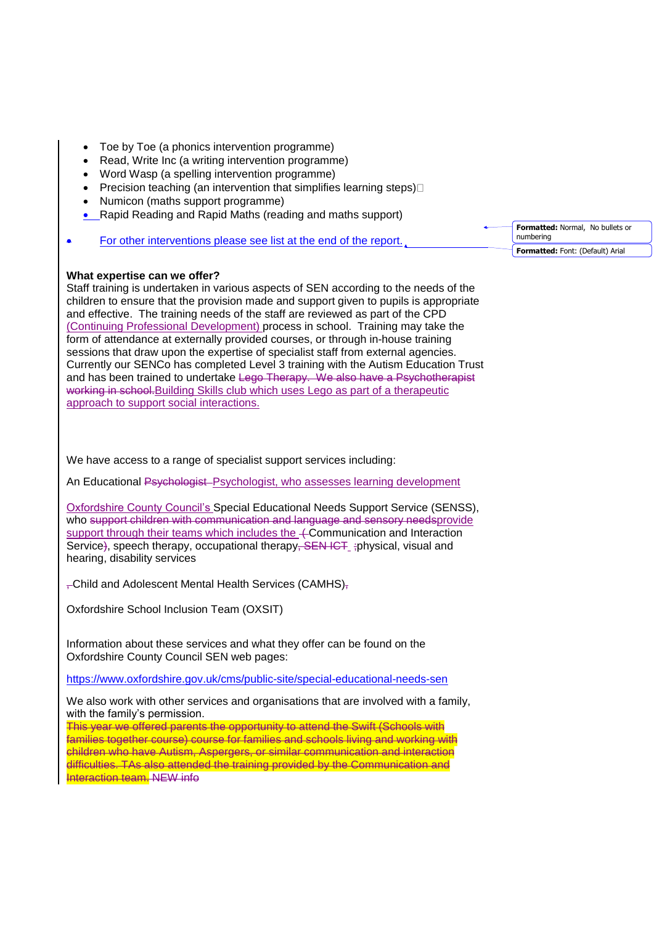- Toe by Toe (a phonics intervention programme)
- Read, Write Inc (a writing intervention programme)
- Word Wasp (a spelling intervention programme)
- Precision teaching (an intervention that simplifies learning steps) $\Box$
- Numicon (maths support programme)
- Rapid Reading and Rapid Maths (reading and maths support)

| For other interventions please see list at the end of the report. | numbering |
|-------------------------------------------------------------------|-----------|
|                                                                   |           |

#### **What expertise can we offer?**

Staff training is undertaken in various aspects of SEN according to the needs of the children to ensure that the provision made and support given to pupils is appropriate and effective. The training needs of the staff are reviewed as part of the CPD (Continuing Professional Development) process in school. Training may take the form of attendance at externally provided courses, or through in-house training sessions that draw upon the expertise of specialist staff from external agencies. Currently our SENCo has completed Level 3 training with the Autism Education Trust and has been trained to undertake Lego Therapy. We also have a Psychotherapist working in school. Building Skills club which uses Lego as part of a therapeutic approach to support social interactions.

We have access to a range of specialist support services including:

An Educational Psychologist-Psychologist, who assesses learning development

Oxfordshire County Council's Special Educational Needs Support Service (SENSS), who support children with communication and language and sensory needsprovide support through their teams which includes the  $+$ Communication and Interaction Service), speech therapy, occupational therapy, SEN ICT ;physical, visual and hearing, disability services

, Child and Adolescent Mental Health Services (CAMHS),

Oxfordshire School Inclusion Team (OXSIT)

Information about these services and what they offer can be found on the Oxfordshire County Council SEN web pages:

<https://www.oxfordshire.gov.uk/cms/public-site/special-educational-needs-sen>

We also work with other services and organisations that are involved with a family, with the family's permission.

This year we offered parents the opportunity to attend the Swift (Schools with families together course) course for families and schools living and working with children who have Autism, Aspergers, or similar communication and interaction difficulties. TAs also attended the training provided by the Communication and Interaction team. NEW info

| Formatted: Normal, No bullets or<br>numbering |
|-----------------------------------------------|
| Formatted: Font: (Default) Arial              |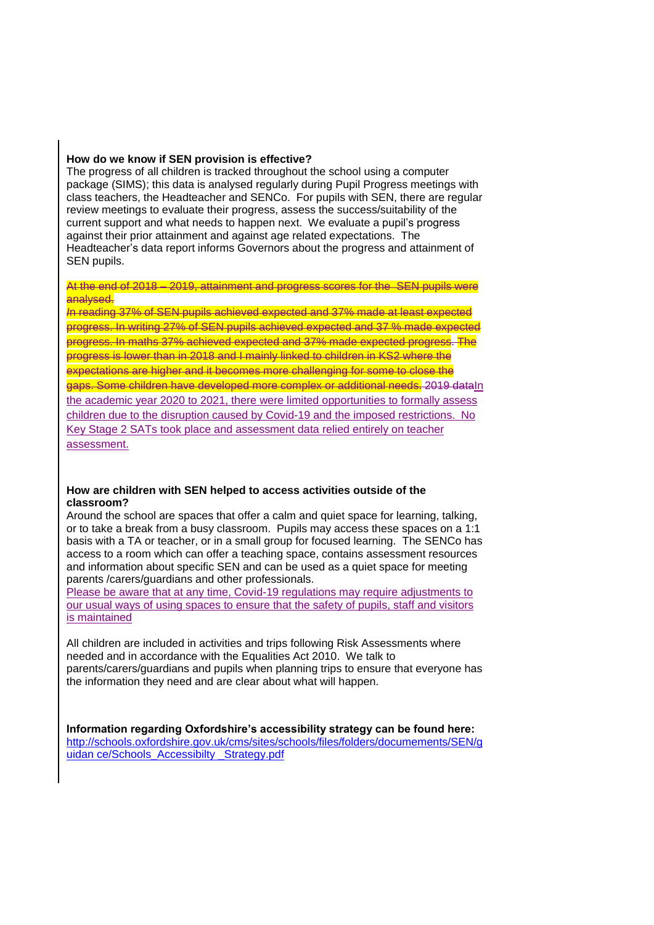#### **How do we know if SEN provision is effective?**

The progress of all children is tracked throughout the school using a computer package (SIMS); this data is analysed regularly during Pupil Progress meetings with class teachers, the Headteacher and SENCo. For pupils with SEN, there are regular review meetings to evaluate their progress, assess the success/suitability of the current support and what needs to happen next. We evaluate a pupil's progress against their prior attainment and against age related expectations. The Headteacher's data report informs Governors about the progress and attainment of SEN pupils.

#### At the end of 2018 – 2019, attainment and progress scores for the SEN pupils were analysed.

*I*n reading 37% of SEN pupils achieved expected and 37% made at least expected progress. In writing 27% of SEN pupils achieved expected and 37 % made expected progress. In maths 37% achieved expected and 37% made expected progress. The progress is lower than in 2018 and I mainly linked to children in KS2 where the expectations are higher and it becomes more challenging for some to close the gaps. Some children have developed more complex or additional needs. 2019 dataIn the academic year 2020 to 2021, there were limited opportunities to formally assess children due to the disruption caused by Covid-19 and the imposed restrictions. No Key Stage 2 SATs took place and assessment data relied entirely on teacher assessment.

#### **How are children with SEN helped to access activities outside of the classroom?**

Around the school are spaces that offer a calm and quiet space for learning, talking, or to take a break from a busy classroom. Pupils may access these spaces on a 1:1 basis with a TA or teacher, or in a small group for focused learning. The SENCo has access to a room which can offer a teaching space, contains assessment resources and information about specific SEN and can be used as a quiet space for meeting parents /carers/guardians and other professionals.

Please be aware that at any time, Covid-19 regulations may require adjustments to our usual ways of using spaces to ensure that the safety of pupils, staff and visitors is maintained

All children are included in activities and trips following Risk Assessments where needed and in accordance with the Equalities Act 2010. We talk to parents/carers/guardians and pupils when planning trips to ensure that everyone has the information they need and are clear about what will happen.

**Information regarding Oxfordshire's accessibility strategy can be found here:**  [http://schools.oxfordshire.gov.uk/cms/sites/schools/files/folders/documements/SEN/g](http://schools.oxfordshire.gov.uk/cms/sites/schools/files/folders/documements/SEN/guidan%20ce/Schools_Accessibilty%20_Strategy.pdf) uidan ce/Schools\_Accessibilty Strategy.pdf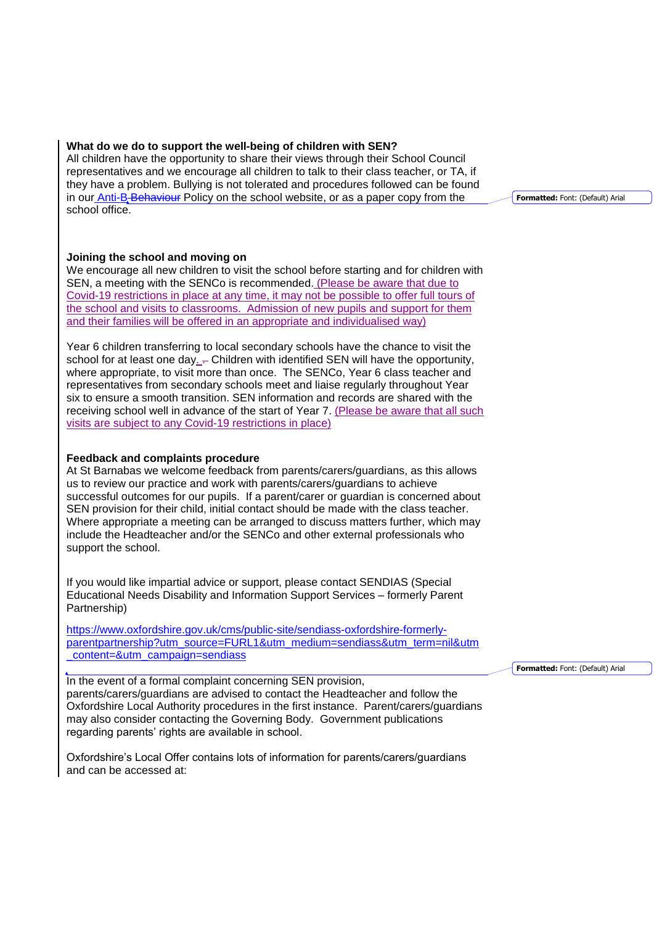#### **What do we do to support the well-being of children with SEN?**

All children have the opportunity to share their views through their School Council representatives and we encourage all children to talk to their class teacher, or TA, if they have a problem. Bullying is not tolerated and procedures followed can be found in our Anti-B-Behaviour Policy on the school website, or as a paper copy from the school office.

#### **Joining the school and moving on**

We encourage all new children to visit the school before starting and for children with SEN, a meeting with the SENCo is recommended. (Please be aware that due to Covid-19 restrictions in place at any time, it may not be possible to offer full tours of the school and visits to classrooms. Admission of new pupils and support for them and their families will be offered in an appropriate and individualised way)

Year 6 children transferring to local secondary schools have the chance to visit the school for at least one day.  $-$  Children with identified SEN will have the opportunity, where appropriate, to visit more than once. The SENCo, Year 6 class teacher and representatives from secondary schools meet and liaise regularly throughout Year six to ensure a smooth transition. SEN information and records are shared with the receiving school well in advance of the start of Year 7. (Please be aware that all such visits are subject to any Covid-19 restrictions in place)

#### **Feedback and complaints procedure**

At St Barnabas we welcome feedback from parents/carers/guardians, as this allows us to review our practice and work with parents/carers/guardians to achieve successful outcomes for our pupils. If a parent/carer or guardian is concerned about SEN provision for their child, initial contact should be made with the class teacher. Where appropriate a meeting can be arranged to discuss matters further, which may include the Headteacher and/or the SENCo and other external professionals who support the school.

If you would like impartial advice or support, please contact SENDIAS (Special Educational Needs Disability and Information Support Services – formerly Parent Partnership)

[https://www.oxfordshire.gov.uk/cms/public-site/sendiass-oxfordshire-formerly](https://www.oxfordshire.gov.uk/cms/public-site/sendiass-oxfordshire-formerly-parentpartnership?utm_source=FURL1&utm_medium=sendiass&utm_term=nil&utm_content=&utm_campaign=sendiass%20%20)[parentpartnership?utm\\_source=FURL1&utm\\_medium=sendiass&utm\\_term=nil&utm](https://www.oxfordshire.gov.uk/cms/public-site/sendiass-oxfordshire-formerly-parentpartnership?utm_source=FURL1&utm_medium=sendiass&utm_term=nil&utm_content=&utm_campaign=sendiass%20%20) [\\_content=&utm\\_campaign=sendiass](https://www.oxfordshire.gov.uk/cms/public-site/sendiass-oxfordshire-formerly-parentpartnership?utm_source=FURL1&utm_medium=sendiass&utm_term=nil&utm_content=&utm_campaign=sendiass%20%20) 

In the event of a formal complaint concerning SEN provision, parents/carers/guardians are advised to contact the Headteacher and follow the Oxfordshire Local Authority procedures in the first instance. Parent/carers/guardians may also consider contacting the Governing Body. Government publications regarding parents' rights are available in school.

Oxfordshire's Local Offer contains lots of information for parents/carers/guardians and can be accessed at:

**Formatted:** Font: (Default) Arial

**Formatted:** Font: (Default) Arial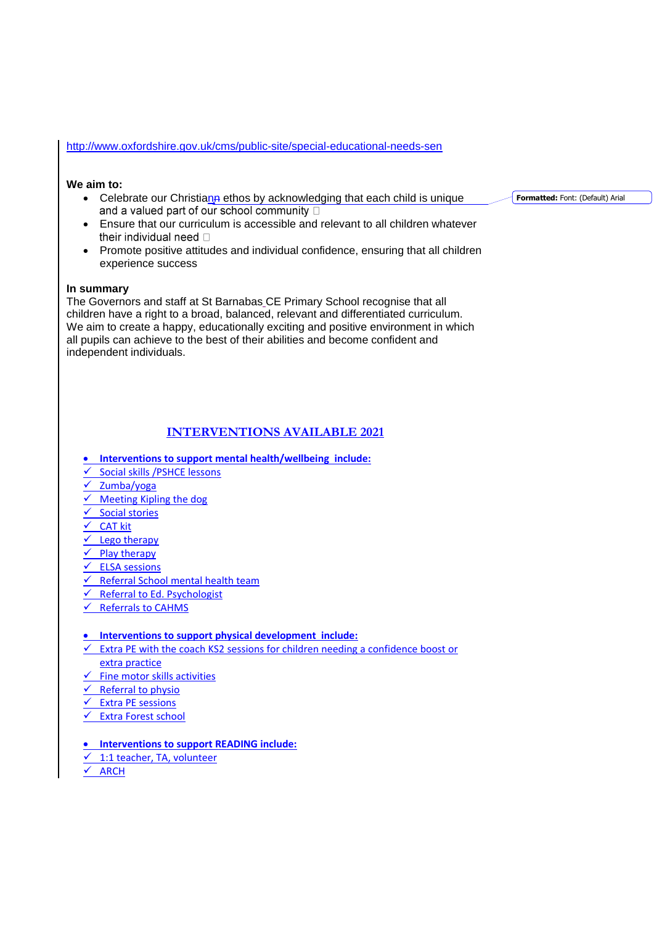#### <http://www.oxfordshire.gov.uk/cms/public-site/special-educational-needs-sen>

#### **We aim to:**

• Celebrate our Christiann ethos by acknowledging that each child is unique and a valued part of our school community  $\Box$ 

**Formatted:** Font: (Default) Arial

- Ensure that our curriculum is accessible and relevant to all children whatever their individual need  $\Box$
- Promote positive attitudes and individual confidence, ensuring that all children experience success

#### **In summary**

The Governors and staff at St Barnabas CE Primary School recognise that all children have a right to a broad, balanced, relevant and differentiated curriculum. We aim to create a happy, educationally exciting and positive environment in which all pupils can achieve to the best of their abilities and become confident and independent individuals.

## **INTERVENTIONS AVAILABLE 2021**

- **Interventions to support mental health/wellbeing include:**
- $\checkmark$  Social skills /PSHCE lessons
- $\checkmark$  Zumba/yoga
- $\overline{\smash[b]{\checkmark}}$  Meeting Kipling the dog
- $\overline{\smash{\checkmark}}$  Social stories
- $\checkmark$  CAT kit
- $\checkmark$  Lego therapy
- $\frac{6}{5}$  Play therapy
- ELSA sessions
- $\checkmark$  Referral School mental health team
- $\sqrt{\phantom{a}}$  Referral to Ed. Psychologist
- $\checkmark$  Referrals to CAHMS

#### **Interventions to support physical development include:**

- $\checkmark$  Extra PE with the coach KS2 sessions for children needing a confidence boost or extra practice
- $\checkmark$  Fine motor skills activities
- 
- $\frac{\checkmark}{\checkmark}$  Referral to physio<br> $\frac{\checkmark}{\checkmark}$  Extra PE sessions Extra PE sessions
- $\checkmark$  Extra Forest school

#### **Interventions to support READING include:**

- $\checkmark$  1:1 teacher, TA, volunteer
- $\overline{\smash{\checkmark}}$  ARCH